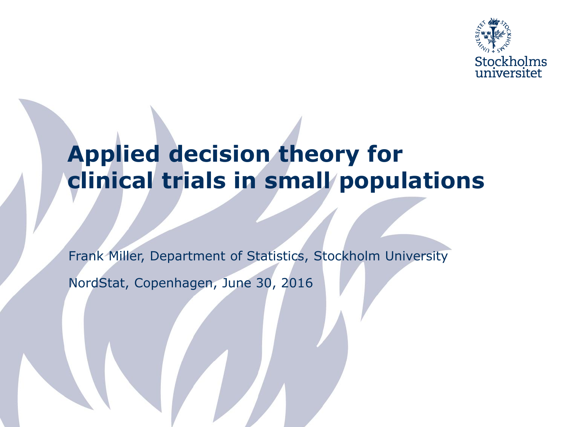

### **Applied decision theory for clinical trials in small populations**

Frank Miller, Department of Statistics, Stockholm University

NordStat, Copenhagen, June 30, 2016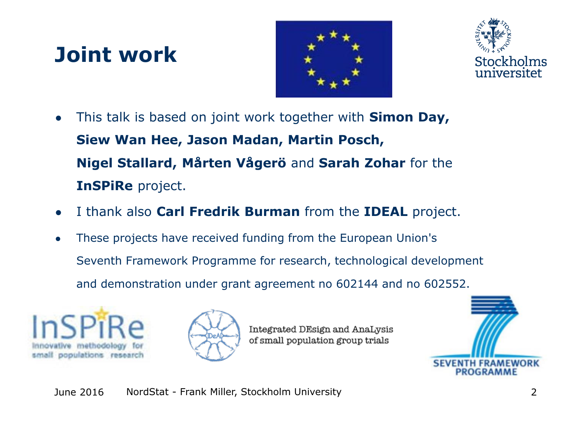## **Joint work**





- This talk is based on joint work together with **Simon Day, Siew Wan Hee, Jason Madan, Martin Posch, Nigel Stallard, Mårten Vågerö** and **Sarah Zohar** for the **InSPiRe** project.
- I thank also **Carl Fredrik Burman** from the **IDEAL** project.
- These projects have received funding from the European Union's Seventh Framework Programme for research, technological development and demonstration under grant agreement no 602144 and no 602552.





Integrated DEsign and AnaLysis of small population group trials

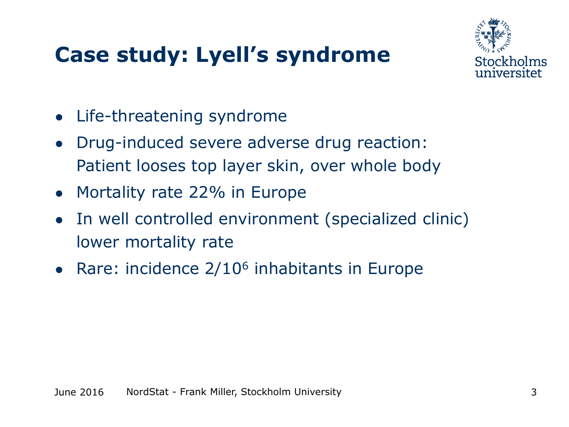## **Case study: Lyell's syndrome**



- Life-threatening syndrome
- Drug-induced severe adverse drug reaction: Patient looses top layer skin, over whole body
- Mortality rate 22% in Europe
- In well controlled environment (specialized clinic) lower mortality rate
- Rare: incidence  $2/10^6$  inhabitants in Europe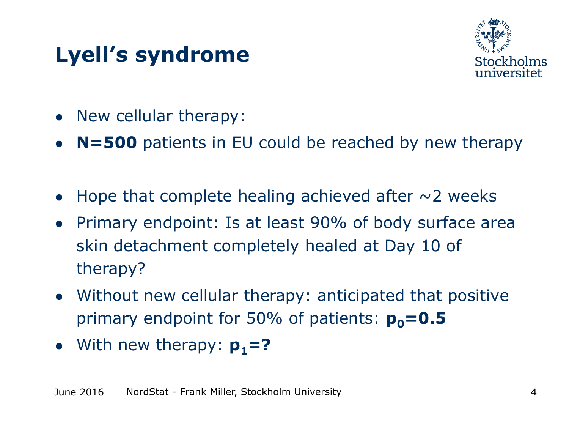## **Lyell's syndrome**



- New cellular therapy:
- **N=500** patients in EU could be reached by new therapy
- Hope that complete healing achieved after  $\sim$  2 weeks
- Primary endpoint: Is at least 90% of body surface area skin detachment completely healed at Day 10 of therapy?
- Without new cellular therapy: anticipated that positive primary endpoint for 50% of patients:  $p_0 = 0.5$
- With new therapy:  $p_1 = ?$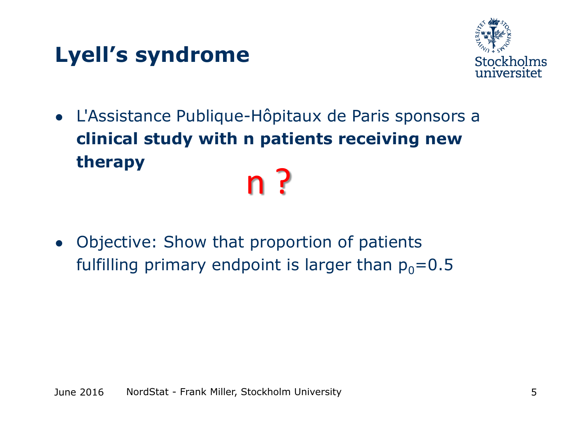## **Lyell's syndrome**



- L'Assistance Publique-Hôpitaux de Paris sponsors a **clinical study with n patients receiving new therapy** n ?
- Objective: Show that proportion of patients fulfilling primary endpoint is larger than  $p_0=0.5$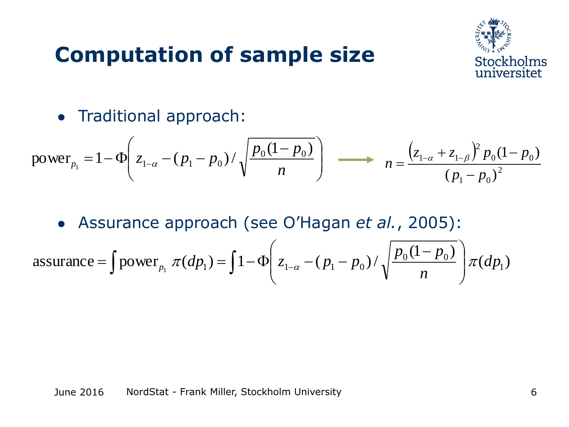#### **Computation of sample size**



● Traditional approach:

power<sub>p<sub>1</sub></sub> = 1-
$$
\Phi
$$
  $\left(z_{1-\alpha} - (p_1 - p_0) / \sqrt{\frac{p_0(1-p_0)}{n}}\right)$   $\longrightarrow$   $n = \frac{(z_{1-\alpha} + z_{1-\beta})^2 p_0(1-p_0)}{(p_1 - p_0)^2}$ 

● Assurance approach (see O'Hagan *et al.*, 2005):

• Assume 
$$
a = \int \text{power}_{p_1} \pi(dp_1) = \int 1 - \Phi\left(z_{1-\alpha} - (p_1 - p_0) / \sqrt{\frac{p_0(1-p_0)}{n}}\right) \pi(dp_1)
$$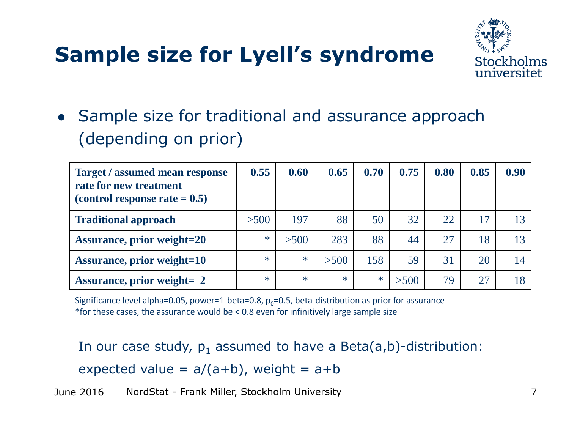## **Sample size for Lyell's syndrome**



• Sample size for traditional and assurance approach (depending on prior)

| <b>Target / assumed mean response</b><br>rate for new treatment<br>(control response rate $= 0.5$ ) | 0.55   | 0.60   | 0.65   | 0.70   | 0.75 | 0.80 | 0.85 | 0.90 |
|-----------------------------------------------------------------------------------------------------|--------|--------|--------|--------|------|------|------|------|
| <b>Traditional approach</b>                                                                         | >500   | 197    | 88     | 50     | 32   | 22   | 17   |      |
| <b>Assurance, prior weight=20</b>                                                                   | $\ast$ | >500   | 283    | 88     | 44   | 27   | 18   |      |
| <b>Assurance, prior weight=10</b>                                                                   | $\ast$ | $\ast$ | >500   | 158    | 59   | 31   | 20   | 4    |
| <b>Assurance, prior weight= 2</b>                                                                   | $\ast$ | $\ast$ | $\ast$ | $\ast$ | >500 | 79   |      |      |

Significance level alpha=0.05, power=1-beta=0.8,  $p_0$ =0.5, beta-distribution as prior for assurance \*for these cases, the assurance would be < 0.8 even for infinitively large sample size

In our case study,  $p_1$  assumed to have a Beta(a,b)-distribution: expected value =  $a/(a+b)$ , weight =  $a+b$ 

June 2016 NordStat - Frank Miller, Stockholm University 7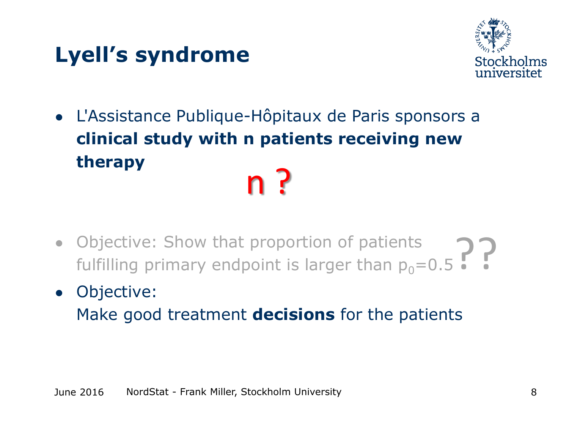## **Lyell's syndrome**



- L'Assistance Publique-Hôpitaux de Paris sponsors a **clinical study with n patients receiving new therapy** n ?
- Objective: Show that proportion of patients Objective: Show that proportion of patients  $\bigcap_{0}$   $\bigcap_{i}$   $\bigcap_{i}$  fulfilling primary endpoint is larger than  $p_0$ =0.5
- Objective:

Make good treatment **decisions** for the patients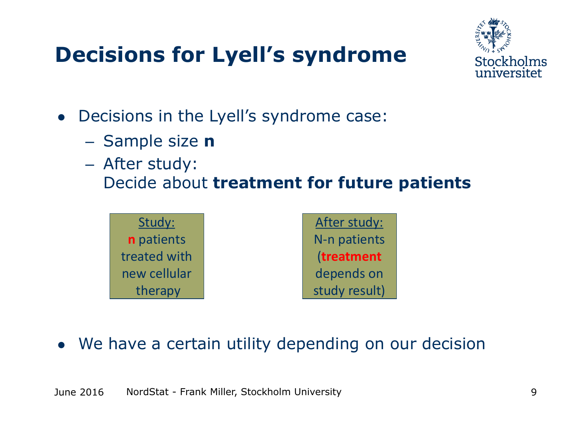## **Decisions for Lyell's syndrome**



- Decisions in the Lyell's syndrome case:
	- Sample size **n**
	- After study: Decide about **treatment for future patients**



• We have a certain utility depending on our decision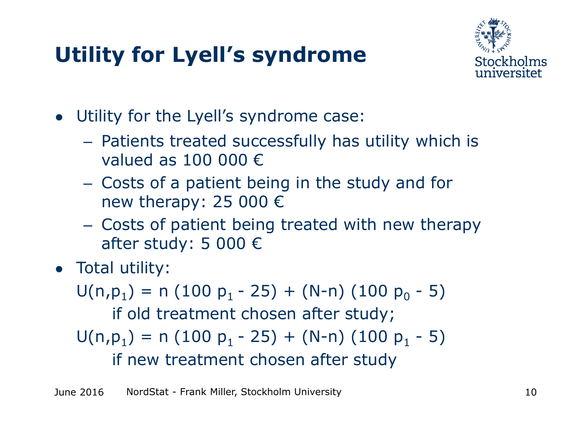## **Utility for Lyell's syndrome**



- Utility for the Lyell's syndrome case:
	- Patients treated successfully has utility which is valued as 100 000  $\epsilon$
	- Costs of a patient being in the study and for new therapy: 25 000  $\epsilon$
	- Costs of patient being treated with new therapy after study: 5 000 €
- Total utility:

 $U(n, p_1) = n (100 p_1 - 25) + (N-n) (100 p_0 - 5)$ 

if old treatment chosen after study;

 $U(n, p_1) = n (100 p_1 - 25) + (N-n) (100 p_1 - 5)$ 

if new treatment chosen after study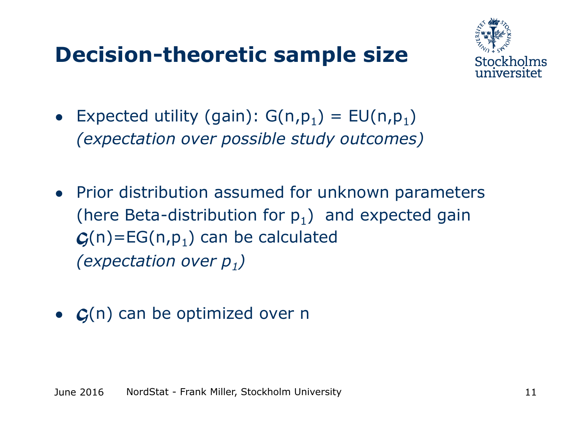### **Decision-theoretic sample size**



- Expected utility (gain):  $G(n,p_1) = EU(n,p_1)$ *(expectation over possible study outcomes)*
- Prior distribution assumed for unknown parameters (here Beta-distribution for  $p_1$ ) and expected gain  $\mathcal{G}(n)$ =EG(n,p<sub>1</sub>) can be calculated *(expectation over p<sup>1</sup> )*
- *G*(n) can be optimized over n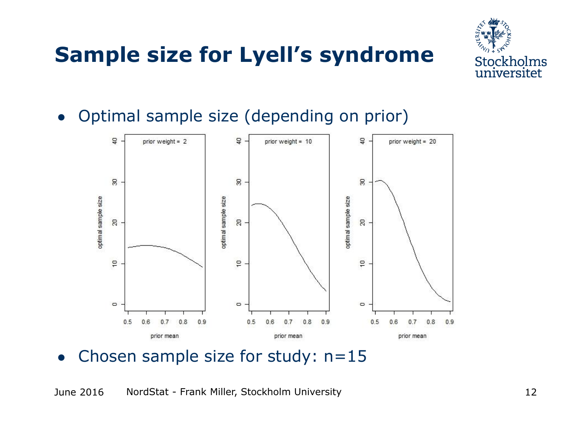# **Sample size for Lyell's syndrome**



• Optimal sample size (depending on prior)



• Chosen sample size for study:  $n=15$ 

June 2016 NordStat - Frank Miller, Stockholm University 12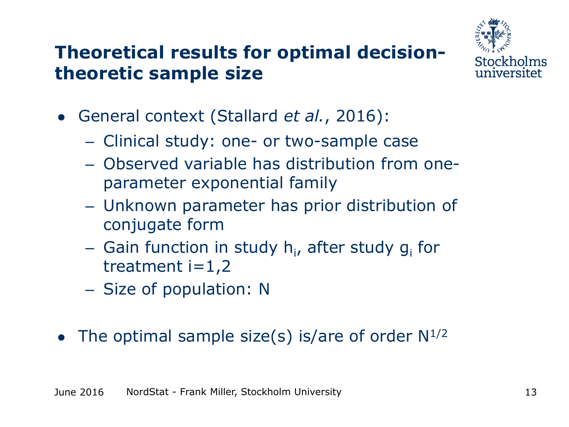#### **Theoretical results for optimal decisiontheoretic sample size**



- General context (Stallard *et al.*, 2016):
	- Clinical study: one- or two-sample case
	- Observed variable has distribution from oneparameter exponential family
	- Unknown parameter has prior distribution of conjugate form
	- Gain function in study h<sub>i</sub>, after study g<sub>i</sub> for treatment  $i=1,2$
	- Size of population: N
- The optimal sample size(s) is/are of order  $N^{1/2}$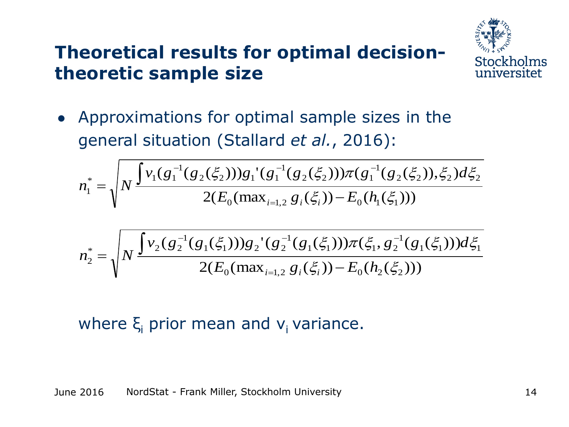#### **Theoretical results for optimal decisiontheoretic sample size**



• Approximations for optimal sample sizes in the general situation (Stallard *et al.*, 2016):

$$
n_1^* = \sqrt{N \frac{\int v_1(g_1^{-1}(g_2(\xi_2)))g_1'(g_1^{-1}(g_2(\xi_2)))\pi(g_1^{-1}(g_2(\xi_2)), \xi_2)d\xi_2}{2(E_0(\max_{i=1,2} g_i(\xi_i))-E_0(h_1(\xi_1)))}}
$$

$$
n_2^* = \sqrt{N \frac{\int v_2(g_2^{-1}(g_1(\xi_1)))g_2'(g_2^{-1}(g_1(\xi_1)))\pi(\xi_1, g_2^{-1}(g_1(\xi_1)))d\xi_1}{2(E_0(\max_{i=1,2} g_i(\xi_i)) - E_0(h_2(\xi_2)))}}
$$

#### where  $\xi$  prior mean and  $v_i$  variance.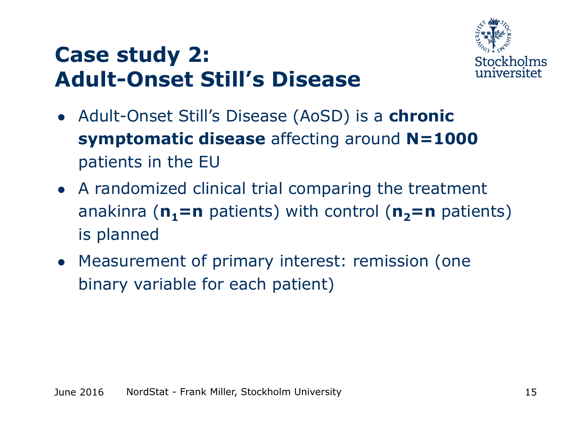### **Case study 2: Adult-Onset Still's Disease**



- Adult-Onset Still's Disease (AoSD) is a **chronic symptomatic disease** affecting around **N=1000** patients in the EU
- A randomized clinical trial comparing the treatment anakinra ( $n_1$ =n patients) with control ( $n_2$ =n patients) is planned
- Measurement of primary interest: remission (one binary variable for each patient)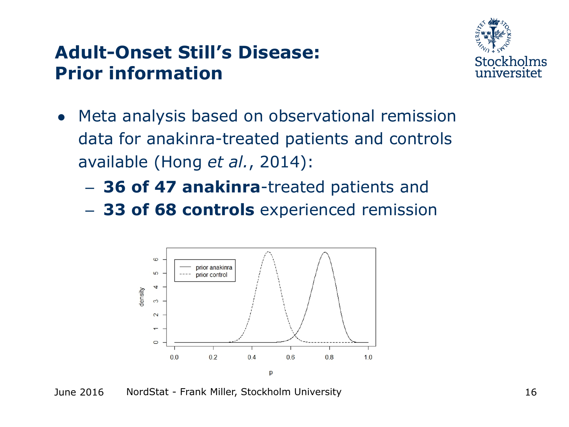#### **Adult-Onset Still's Disease: Prior information**



- Meta analysis based on observational remission data for anakinra-treated patients and controls available (Hong *et al.*, 2014):
	- **36 of 47 anakinra**-treated patients and
	- **33 of 68 controls** experienced remission



June 2016 NordStat - Frank Miller, Stockholm University 16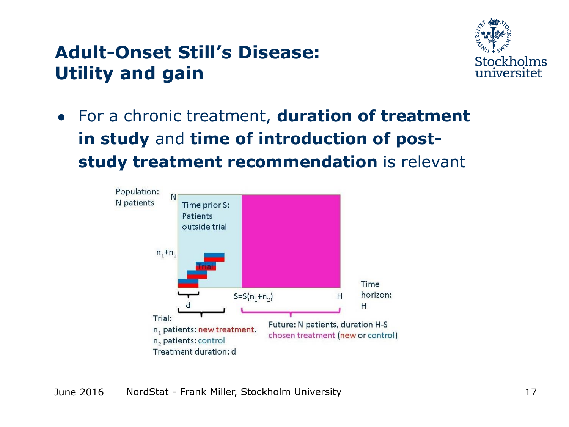#### **Adult-Onset Still's Disease: Utility and gain**



● For a chronic treatment, **duration of treatment in study** and **time of introduction of poststudy treatment recommendation** is relevant

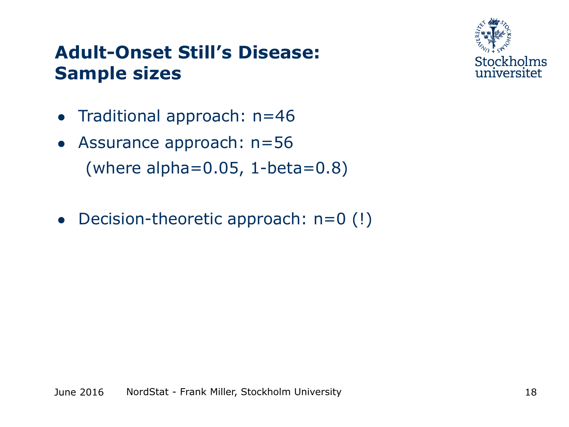#### **Adult-Onset Still's Disease: Sample sizes**



- Traditional approach: n=46
- Assurance approach: n=56 (where alpha= $0.05$ , 1-beta= $0.8$ )
- Decision-theoretic approach:  $n=0$  (!)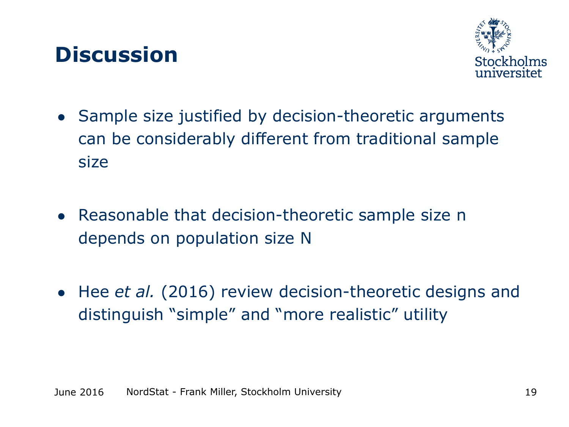#### **Discussion**



- Sample size justified by decision-theoretic arguments can be considerably different from traditional sample size
- Reasonable that decision-theoretic sample size n depends on population size N
- Hee *et al.* (2016) review decision-theoretic designs and distinguish "simple" and "more realistic" utility